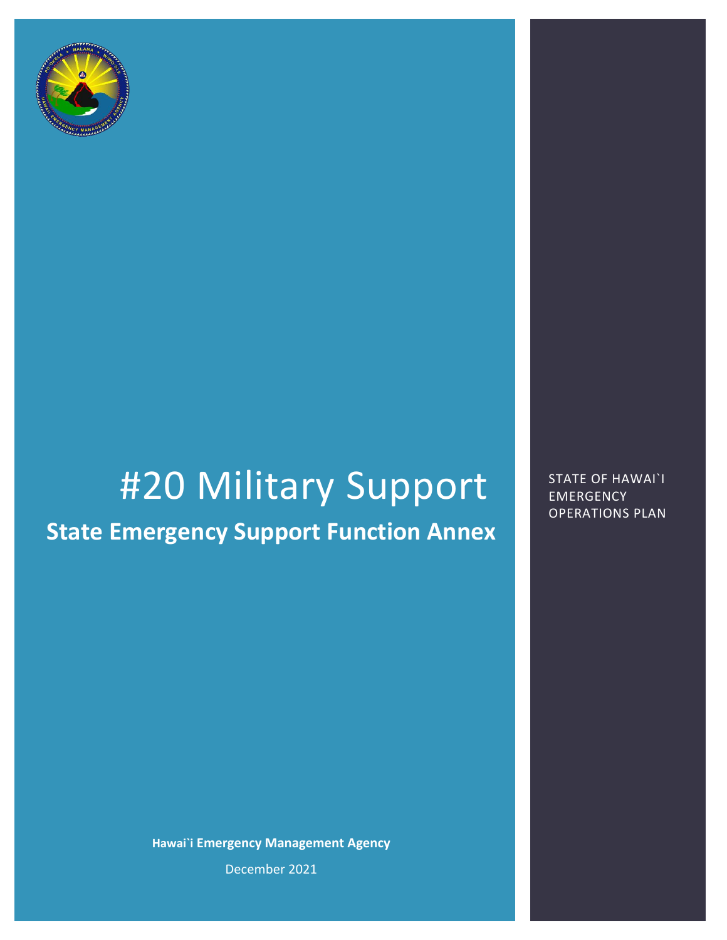

# #20 Military Support State of HAWAI`I

**State Emergency Support Function Annex**

**Hawai`i Emergency Management Agency** December 2021

EMERGENCY OPERATIONS PLAN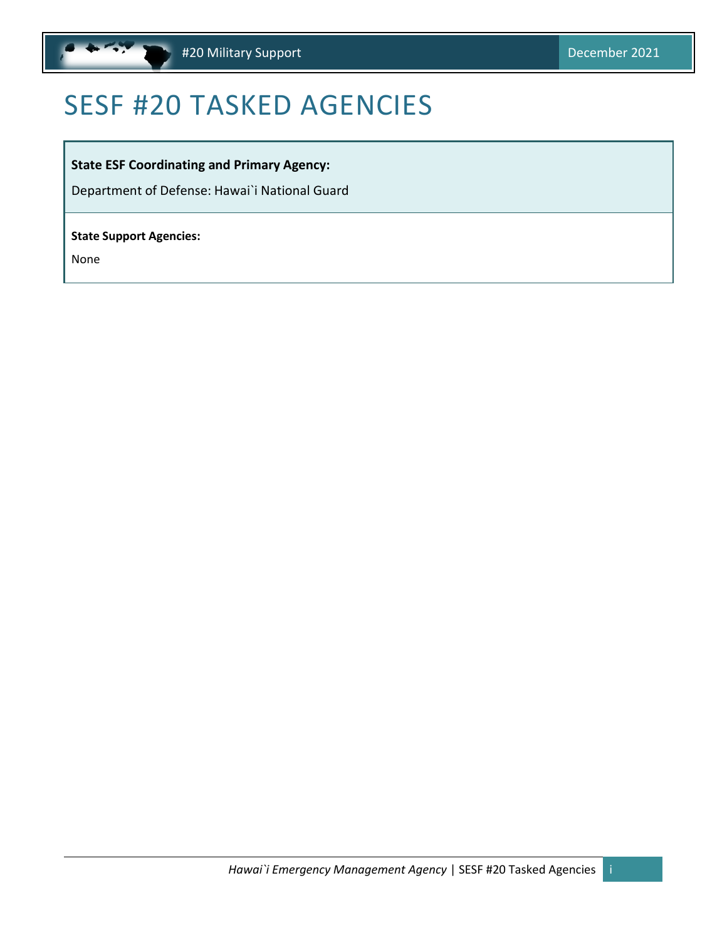

# <span id="page-1-0"></span>SESF #20 TASKED AGENCIES

#### **State ESF Coordinating and Primary Agency:**

Department of Defense: Hawai`i National Guard

#### **State Support Agencies:**

None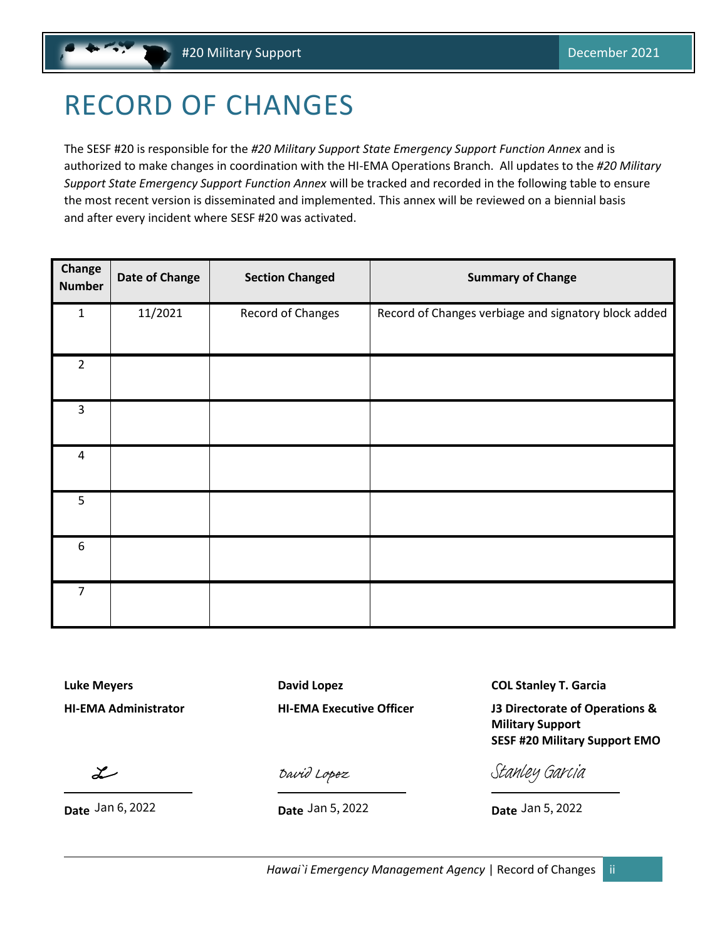# <span id="page-2-0"></span>RECORD OF CHANGES

The SESF #20 is responsible for the *#20 Military Support State Emergency Support Function Annex* and is authorized to make changes in coordination with the HI-EMA Operations Branch. All updates to the *#20 Military Support State Emergency Support Function Annex* will be tracked and recorded in the following table to ensure the most recent version is disseminated and implemented. This annex will be reviewed on a biennial basis and after every incident where SESF #20 was activated.

| Change<br><b>Number</b> | <b>Date of Change</b> | <b>Section Changed</b> | <b>Summary of Change</b>                             |
|-------------------------|-----------------------|------------------------|------------------------------------------------------|
| $\mathbf{1}$            | 11/2021               | Record of Changes      | Record of Changes verbiage and signatory block added |
| $\overline{2}$          |                       |                        |                                                      |
| $\overline{3}$          |                       |                        |                                                      |
| 4                       |                       |                        |                                                      |
| 5                       |                       |                        |                                                      |
| 6                       |                       |                        |                                                      |
| $\overline{7}$          |                       |                        |                                                      |

**Luke Meyers David Lopez COL Stanley T. Garcia**

**HI-EMA Administrator HI-EMA Executive Officer J3 Directorate of Operations & Military Support SESF #20 Military Support EMO**

مستلج

**Date Date Date**

[David Lopez](https://stateofhawaii.na1.adobesign.com/verifier?tx=CBJCHBCAABAAsMEuSIFqtjPxfTiUtsN2eAlrdchpVL9N)

Date Jan 5, 2022

[Stanley Garcia](https://secure.na1.echosign.com/verifier?tx=CBJCHBCAABAAsMEuSIFqtjPxfTiUtsN2eAlrdchpVL9N)

Date Jan 5, 2022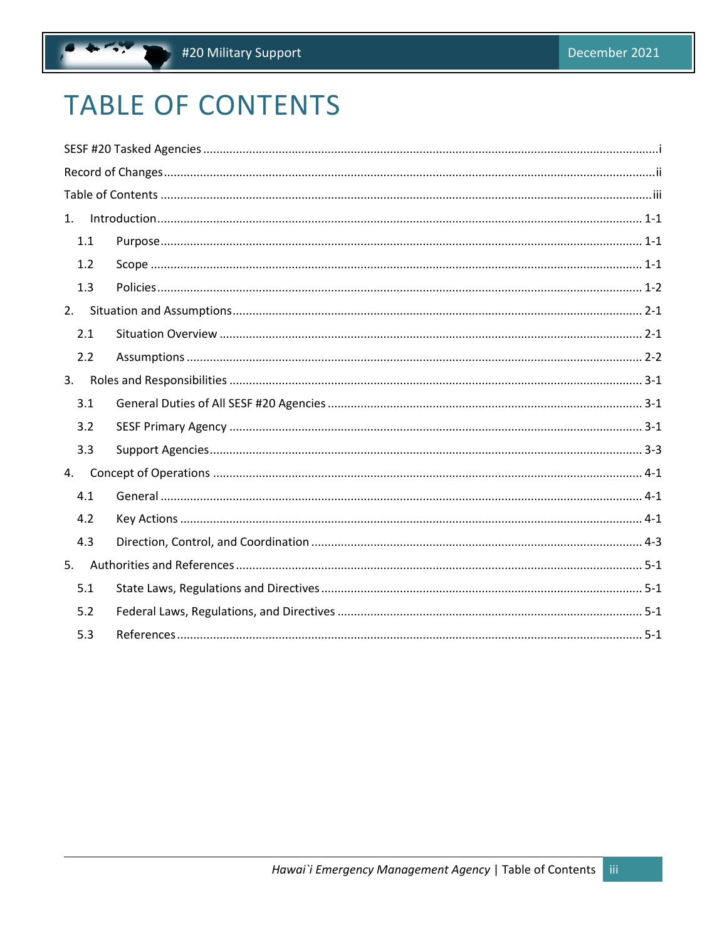# <span id="page-3-0"></span>**TABLE OF CONTENTS**

.,

| 1.  |  |  |  |  |
|-----|--|--|--|--|
| 1.1 |  |  |  |  |
| 1.2 |  |  |  |  |
| 1.3 |  |  |  |  |
| 2.  |  |  |  |  |
| 2.1 |  |  |  |  |
| 2.2 |  |  |  |  |
| 3.  |  |  |  |  |
| 3.1 |  |  |  |  |
| 3.2 |  |  |  |  |
| 3.3 |  |  |  |  |
| 4.  |  |  |  |  |
| 4.1 |  |  |  |  |
| 4.2 |  |  |  |  |
| 4.3 |  |  |  |  |
| 5.  |  |  |  |  |
| 5.1 |  |  |  |  |
| 5.2 |  |  |  |  |
| 5.3 |  |  |  |  |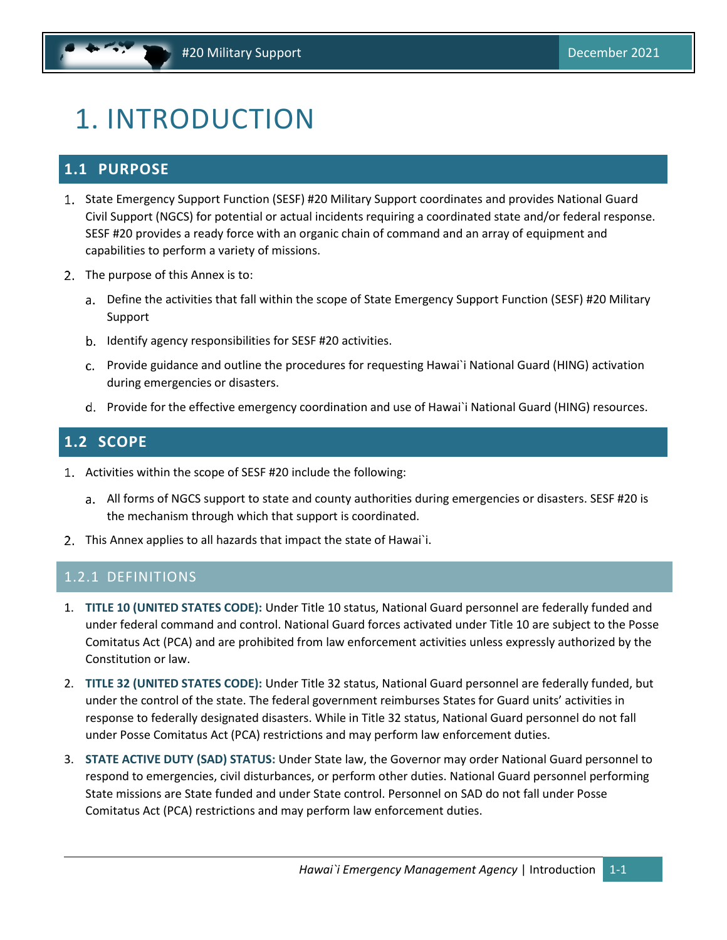# <span id="page-4-0"></span>1. INTRODUCTION

### <span id="page-4-1"></span>**1.1 PURPOSE**

- 1. State Emergency Support Function (SESF) #20 Military Support coordinates and provides National Guard Civil Support (NGCS) for potential or actual incidents requiring a coordinated state and/or federal response. SESF #20 provides a ready force with an organic chain of command and an array of equipment and capabilities to perform a variety of missions.
- 2. The purpose of this Annex is to:
	- Define the activities that fall within the scope of State Emergency Support Function (SESF) #20 Military Support
	- b. Identify agency responsibilities for SESF #20 activities.
	- Provide guidance and outline the procedures for requesting Hawai`i National Guard (HING) activation during emergencies or disasters.
	- Provide for the effective emergency coordination and use of Hawai`i National Guard (HING) resources.

### <span id="page-4-2"></span>**1.2 SCOPE**

- Activities within the scope of SESF #20 include the following:
	- All forms of NGCS support to state and county authorities during emergencies or disasters. SESF #20 is the mechanism through which that support is coordinated.
- 2. This Annex applies to all hazards that impact the state of Hawai`i.

#### 1.2.1 DEFINITIONS

- 1. **TITLE 10 (UNITED STATES CODE):** Under Title 10 status, National Guard personnel are federally funded and under federal command and control. National Guard forces activated under Title 10 are subject to the Posse Comitatus Act (PCA) and are prohibited from law enforcement activities unless expressly authorized by the Constitution or law.
- 2. **TITLE 32 (UNITED STATES CODE):** Under Title 32 status, National Guard personnel are federally funded, but under the control of the state. The federal government reimburses States for Guard units' activities in response to federally designated disasters. While in Title 32 status, National Guard personnel do not fall under Posse Comitatus Act (PCA) restrictions and may perform law enforcement duties.
- 3. **STATE ACTIVE DUTY (SAD) STATUS:** Under State law, the Governor may order National Guard personnel to respond to emergencies, civil disturbances, or perform other duties. National Guard personnel performing State missions are State funded and under State control. Personnel on SAD do not fall under Posse Comitatus Act (PCA) restrictions and may perform law enforcement duties.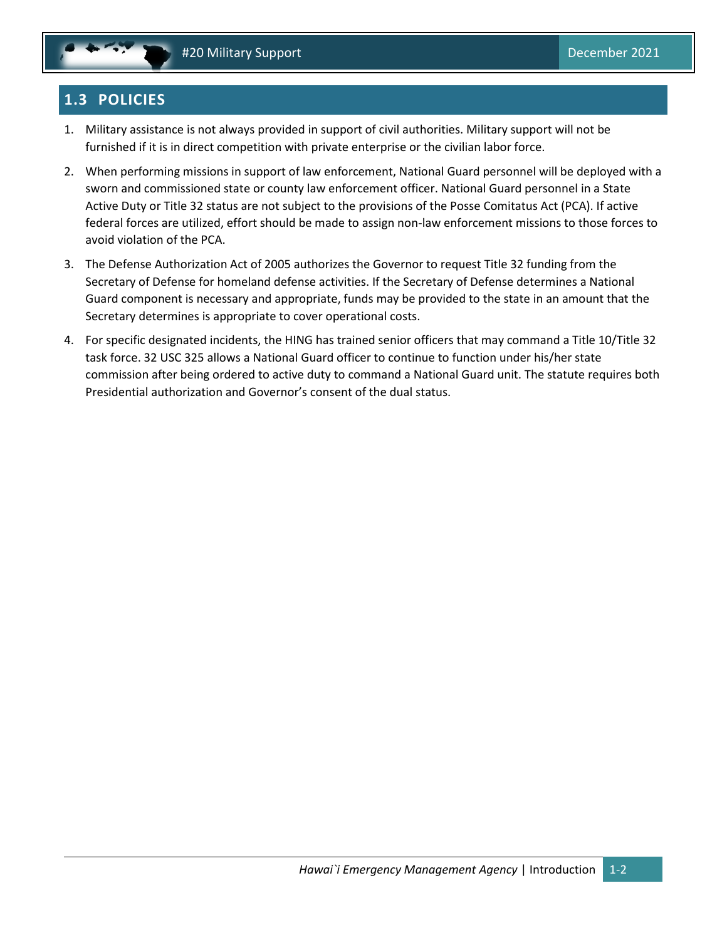# <span id="page-5-0"></span>**1.3 POLICIES**

- 1. Military assistance is not always provided in support of civil authorities. Military support will not be furnished if it is in direct competition with private enterprise or the civilian labor force.
- 2. When performing missions in support of law enforcement, National Guard personnel will be deployed with a sworn and commissioned state or county law enforcement officer. National Guard personnel in a State Active Duty or Title 32 status are not subject to the provisions of the Posse Comitatus Act (PCA). If active federal forces are utilized, effort should be made to assign non-law enforcement missions to those forces to avoid violation of the PCA.
- 3. The Defense Authorization Act of 2005 authorizes the Governor to request Title 32 funding from the Secretary of Defense for homeland defense activities. If the Secretary of Defense determines a National Guard component is necessary and appropriate, funds may be provided to the state in an amount that the Secretary determines is appropriate to cover operational costs.
- 4. For specific designated incidents, the HING has trained senior officers that may command a Title 10/Title 32 task force. 32 USC 325 allows a National Guard officer to continue to function under his/her state commission after being ordered to active duty to command a National Guard unit. The statute requires both Presidential authorization and Governor's consent of the dual status.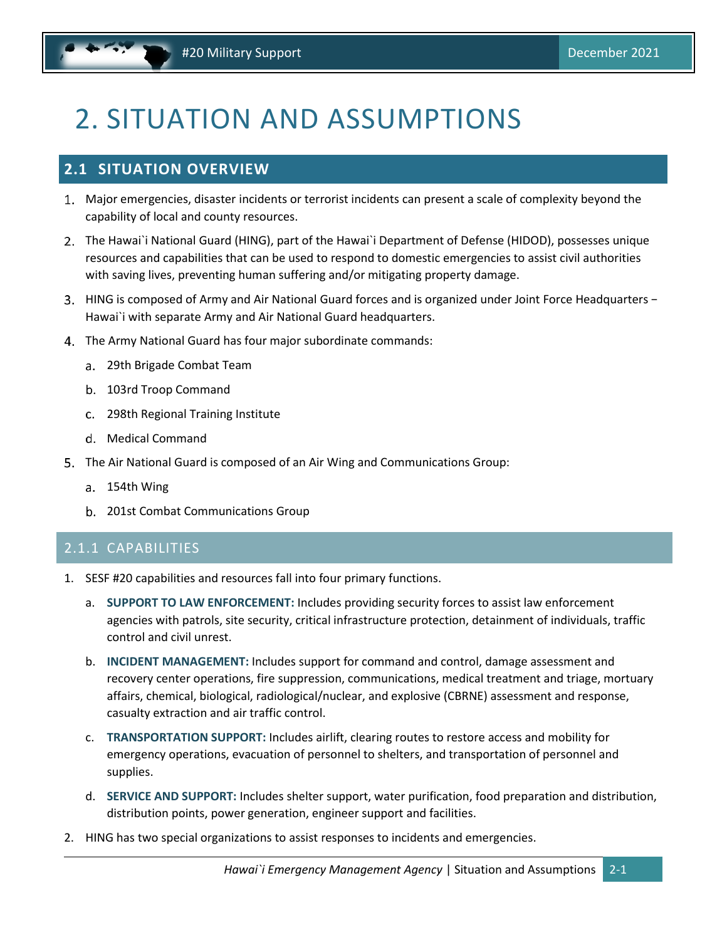# <span id="page-6-0"></span>2. SITUATION AND ASSUMPTIONS

### <span id="page-6-1"></span>**2.1 SITUATION OVERVIEW**

- Major emergencies, disaster incidents or terrorist incidents can present a scale of complexity beyond the capability of local and county resources.
- The Hawai`i National Guard (HING), part of the Hawai`i Department of Defense (HIDOD), possesses unique resources and capabilities that can be used to respond to domestic emergencies to assist civil authorities with saving lives, preventing human suffering and/or mitigating property damage.
- HING is composed of Army and Air National Guard forces and is organized under Joint Force Headquarters − Hawai`i with separate Army and Air National Guard headquarters.
- The Army National Guard has four major subordinate commands:
	- 29th Brigade Combat Team
	- b. 103rd Troop Command
	- 298th Regional Training Institute
	- d. Medical Command
- The Air National Guard is composed of an Air Wing and Communications Group:
	- a. 154th Wing
	- 201st Combat Communications Group

#### 2.1.1 CAPABILITIES

- 1. SESF #20 capabilities and resources fall into four primary functions.
	- a. **SUPPORT TO LAW ENFORCEMENT:** Includes providing security forces to assist law enforcement agencies with patrols, site security, critical infrastructure protection, detainment of individuals, traffic control and civil unrest.
	- b. **INCIDENT MANAGEMENT:** Includes support for command and control, damage assessment and recovery center operations, fire suppression, communications, medical treatment and triage, mortuary affairs, chemical, biological, radiological/nuclear, and explosive (CBRNE) assessment and response, casualty extraction and air traffic control.
	- c. **TRANSPORTATION SUPPORT:** Includes airlift, clearing routes to restore access and mobility for emergency operations, evacuation of personnel to shelters, and transportation of personnel and supplies.
	- d. **SERVICE AND SUPPORT:** Includes shelter support, water purification, food preparation and distribution, distribution points, power generation, engineer support and facilities.
- 2. HING has two special organizations to assist responses to incidents and emergencies.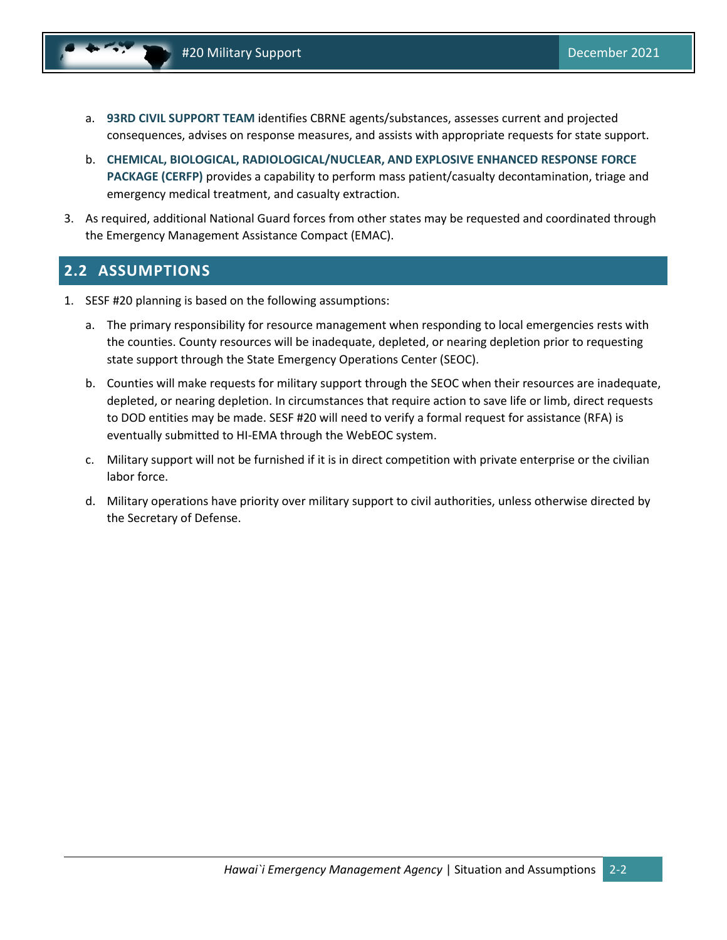- a. **93RD CIVIL SUPPORT TEAM** identifies CBRNE agents/substances, assesses current and projected consequences, advises on response measures, and assists with appropriate requests for state support.
- b. **CHEMICAL, BIOLOGICAL, RADIOLOGICAL/NUCLEAR, AND EXPLOSIVE ENHANCED RESPONSE FORCE PACKAGE (CERFP)** provides a capability to perform mass patient/casualty decontamination, triage and emergency medical treatment, and casualty extraction.
- 3. As required, additional National Guard forces from other states may be requested and coordinated through the Emergency Management Assistance Compact (EMAC).

### <span id="page-7-0"></span>**2.2 ASSUMPTIONS**

- 1. SESF #20 planning is based on the following assumptions:
	- a. The primary responsibility for resource management when responding to local emergencies rests with the counties. County resources will be inadequate, depleted, or nearing depletion prior to requesting state support through the State Emergency Operations Center (SEOC).
	- b. Counties will make requests for military support through the SEOC when their resources are inadequate, depleted, or nearing depletion. In circumstances that require action to save life or limb, direct requests to DOD entities may be made. SESF #20 will need to verify a formal request for assistance (RFA) is eventually submitted to HI-EMA through the WebEOC system.
	- c. Military support will not be furnished if it is in direct competition with private enterprise or the civilian labor force.
	- d. Military operations have priority over military support to civil authorities, unless otherwise directed by the Secretary of Defense.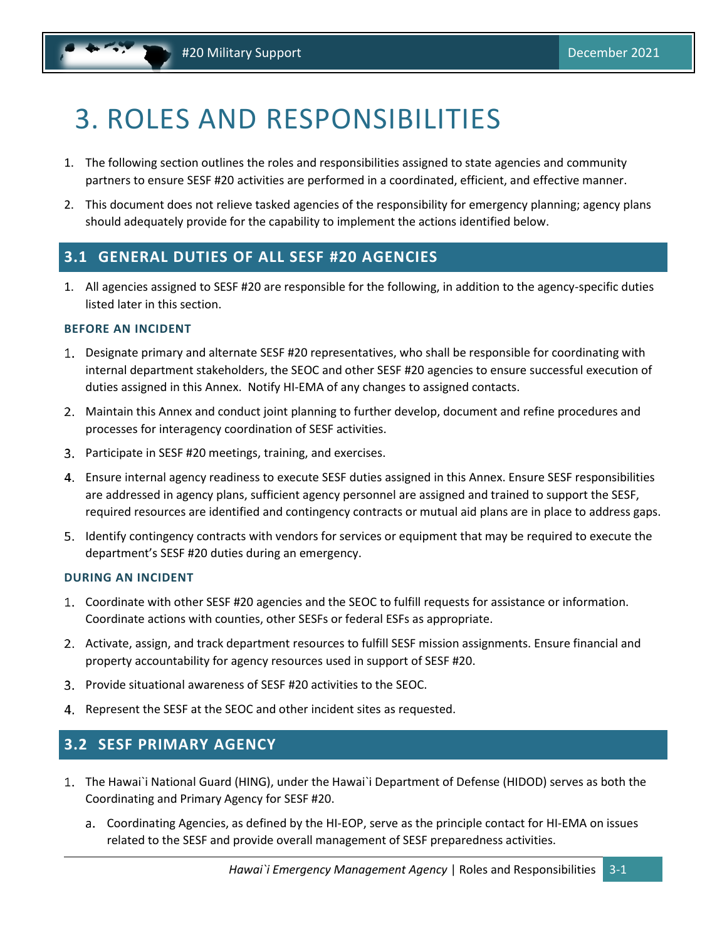# <span id="page-8-0"></span>3. ROLES AND RESPONSIBILITIES

- 1. The following section outlines the roles and responsibilities assigned to state agencies and community partners to ensure SESF #20 activities are performed in a coordinated, efficient, and effective manner.
- 2. This document does not relieve tasked agencies of the responsibility for emergency planning; agency plans should adequately provide for the capability to implement the actions identified below.

### <span id="page-8-1"></span>**3.1 GENERAL DUTIES OF ALL SESF #20 AGENCIES**

1. All agencies assigned to SESF #20 are responsible for the following, in addition to the agency-specific duties listed later in this section.

#### **BEFORE AN INCIDENT**

- Designate primary and alternate SESF #20 representatives, who shall be responsible for coordinating with internal department stakeholders, the SEOC and other SESF #20 agencies to ensure successful execution of duties assigned in this Annex. Notify HI-EMA of any changes to assigned contacts.
- Maintain this Annex and conduct joint planning to further develop, document and refine procedures and processes for interagency coordination of SESF activities.
- Participate in SESF #20 meetings, training, and exercises.
- Ensure internal agency readiness to execute SESF duties assigned in this Annex. Ensure SESF responsibilities are addressed in agency plans, sufficient agency personnel are assigned and trained to support the SESF, required resources are identified and contingency contracts or mutual aid plans are in place to address gaps.
- Identify contingency contracts with vendors for services or equipment that may be required to execute the department's SESF #20 duties during an emergency.

#### **DURING AN INCIDENT**

- Coordinate with other SESF #20 agencies and the SEOC to fulfill requests for assistance or information. Coordinate actions with counties, other SESFs or federal ESFs as appropriate.
- 2. Activate, assign, and track department resources to fulfill SESF mission assignments. Ensure financial and property accountability for agency resources used in support of SESF #20.
- Provide situational awareness of SESF #20 activities to the SEOC.
- 4. Represent the SESF at the SEOC and other incident sites as requested.

### <span id="page-8-2"></span>**3.2 SESF PRIMARY AGENCY**

- The Hawai`i National Guard (HING), under the Hawai`i Department of Defense (HIDOD) serves as both the Coordinating and Primary Agency for SESF #20.
	- Coordinating Agencies, as defined by the HI-EOP, serve as the principle contact for HI-EMA on issues related to the SESF and provide overall management of SESF preparedness activities.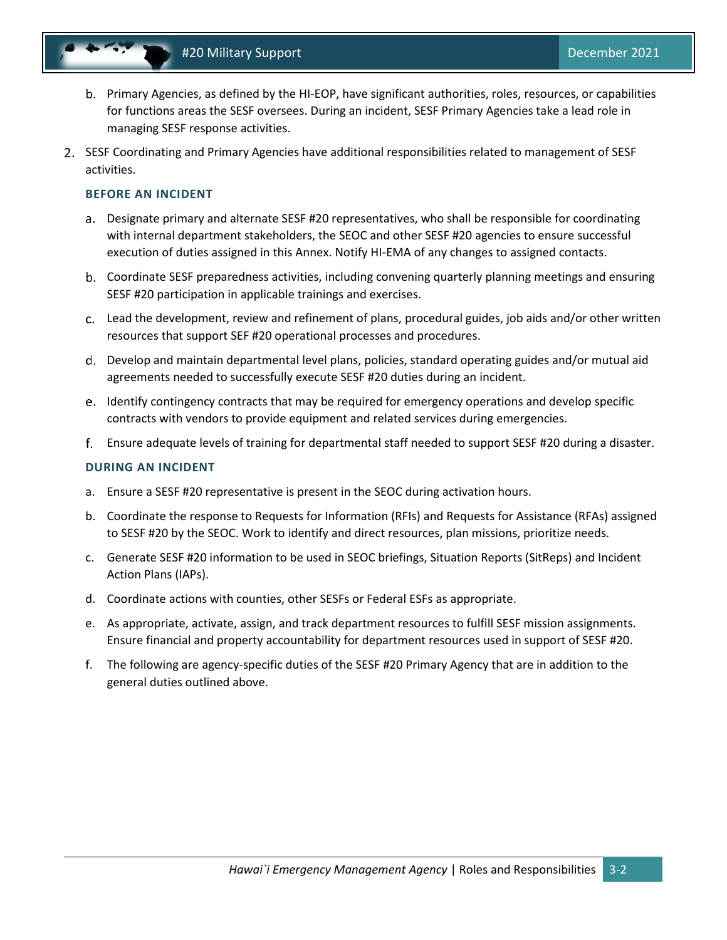

- Primary Agencies, as defined by the HI-EOP, have significant authorities, roles, resources, or capabilities for functions areas the SESF oversees. During an incident, SESF Primary Agencies take a lead role in managing SESF response activities.
- 2. SESF Coordinating and Primary Agencies have additional responsibilities related to management of SESF activities.

#### **BEFORE AN INCIDENT**

- Designate primary and alternate SESF #20 representatives, who shall be responsible for coordinating with internal department stakeholders, the SEOC and other SESF #20 agencies to ensure successful execution of duties assigned in this Annex. Notify HI-EMA of any changes to assigned contacts.
- Coordinate SESF preparedness activities, including convening quarterly planning meetings and ensuring SESF #20 participation in applicable trainings and exercises.
- Lead the development, review and refinement of plans, procedural guides, job aids and/or other written resources that support SEF #20 operational processes and procedures.
- Develop and maintain departmental level plans, policies, standard operating guides and/or mutual aid agreements needed to successfully execute SESF #20 duties during an incident.
- e. Identify contingency contracts that may be required for emergency operations and develop specific contracts with vendors to provide equipment and related services during emergencies.
- Ensure adequate levels of training for departmental staff needed to support SESF #20 during a disaster.

#### **DURING AN INCIDENT**

- a. Ensure a SESF #20 representative is present in the SEOC during activation hours.
- b. Coordinate the response to Requests for Information (RFIs) and Requests for Assistance (RFAs) assigned to SESF #20 by the SEOC. Work to identify and direct resources, plan missions, prioritize needs.
- c. Generate SESF #20 information to be used in SEOC briefings, Situation Reports (SitReps) and Incident Action Plans (IAPs).
- d. Coordinate actions with counties, other SESFs or Federal ESFs as appropriate.
- e. As appropriate, activate, assign, and track department resources to fulfill SESF mission assignments. Ensure financial and property accountability for department resources used in support of SESF #20.
- f. The following are agency-specific duties of the SESF #20 Primary Agency that are in addition to the general duties outlined above.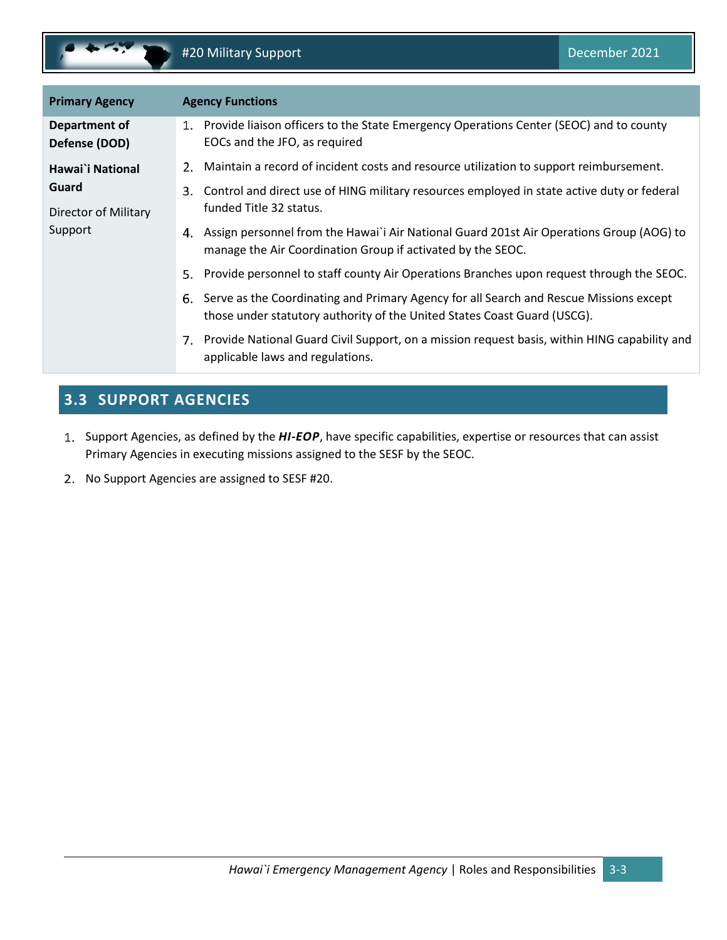

| <b>Primary Agency</b>          | <b>Agency Functions</b>                                                                                                                                                  |
|--------------------------------|--------------------------------------------------------------------------------------------------------------------------------------------------------------------------|
| Department of<br>Defense (DOD) | 1. Provide liaison officers to the State Emergency Operations Center (SEOC) and to county<br>EOCs and the JFO, as required                                               |
| Hawai`i National               | Maintain a record of incident costs and resource utilization to support reimbursement.                                                                                   |
| Guard                          | Control and direct use of HING military resources employed in state active duty or federal<br>3.                                                                         |
| Director of Military           | funded Title 32 status.                                                                                                                                                  |
| Support                        | Assign personnel from the Hawai'i Air National Guard 201st Air Operations Group (AOG) to<br>4.<br>manage the Air Coordination Group if activated by the SEOC.            |
|                                | Provide personnel to staff county Air Operations Branches upon request through the SEOC.<br>5.                                                                           |
|                                | Serve as the Coordinating and Primary Agency for all Search and Rescue Missions except<br>6.<br>those under statutory authority of the United States Coast Guard (USCG). |
|                                | 7. Provide National Guard Civil Support, on a mission request basis, within HING capability and<br>applicable laws and regulations.                                      |

# <span id="page-10-0"></span>**3.3 SUPPORT AGENCIES**

- 1. Support Agencies, as defined by the *HI-EOP*, have specific capabilities, expertise or resources that can assist Primary Agencies in executing missions assigned to the SESF by the SEOC.
- 2. No Support Agencies are assigned to SESF #20.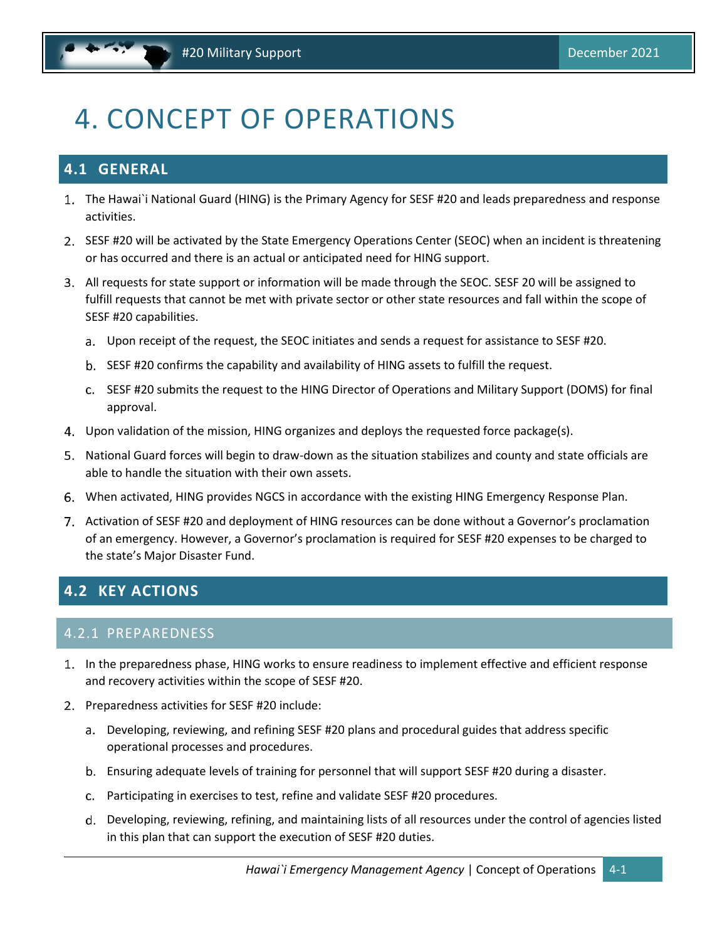# <span id="page-11-0"></span>4. CONCEPT OF OPERATIONS

# <span id="page-11-1"></span>**4.1 GENERAL**

- The Hawai`i National Guard (HING) is the Primary Agency for SESF #20 and leads preparedness and response activities.
- 2. SESF #20 will be activated by the State Emergency Operations Center (SEOC) when an incident is threatening or has occurred and there is an actual or anticipated need for HING support.
- All requests for state support or information will be made through the SEOC. SESF 20 will be assigned to fulfill requests that cannot be met with private sector or other state resources and fall within the scope of SESF #20 capabilities.
	- Upon receipt of the request, the SEOC initiates and sends a request for assistance to SESF #20.
	- b. SESF #20 confirms the capability and availability of HING assets to fulfill the request.
	- c. SESF #20 submits the request to the HING Director of Operations and Military Support (DOMS) for final approval.
- Upon validation of the mission, HING organizes and deploys the requested force package(s).
- National Guard forces will begin to draw-down as the situation stabilizes and county and state officials are able to handle the situation with their own assets.
- When activated, HING provides NGCS in accordance with the existing HING Emergency Response Plan.
- 7. Activation of SESF #20 and deployment of HING resources can be done without a Governor's proclamation of an emergency. However, a Governor's proclamation is required for SESF #20 expenses to be charged to the state's Major Disaster Fund.

# <span id="page-11-2"></span>**4.2 KEY ACTIONS**

#### 4.2.1 PREPAREDNESS

- In the preparedness phase, HING works to ensure readiness to implement effective and efficient response and recovery activities within the scope of SESF #20.
- 2. Preparedness activities for SESF #20 include:
	- Developing, reviewing, and refining SESF #20 plans and procedural guides that address specific operational processes and procedures.
	- Ensuring adequate levels of training for personnel that will support SESF #20 during a disaster.
	- Participating in exercises to test, refine and validate SESF #20 procedures.
	- Developing, reviewing, refining, and maintaining lists of all resources under the control of agencies listed in this plan that can support the execution of SESF #20 duties.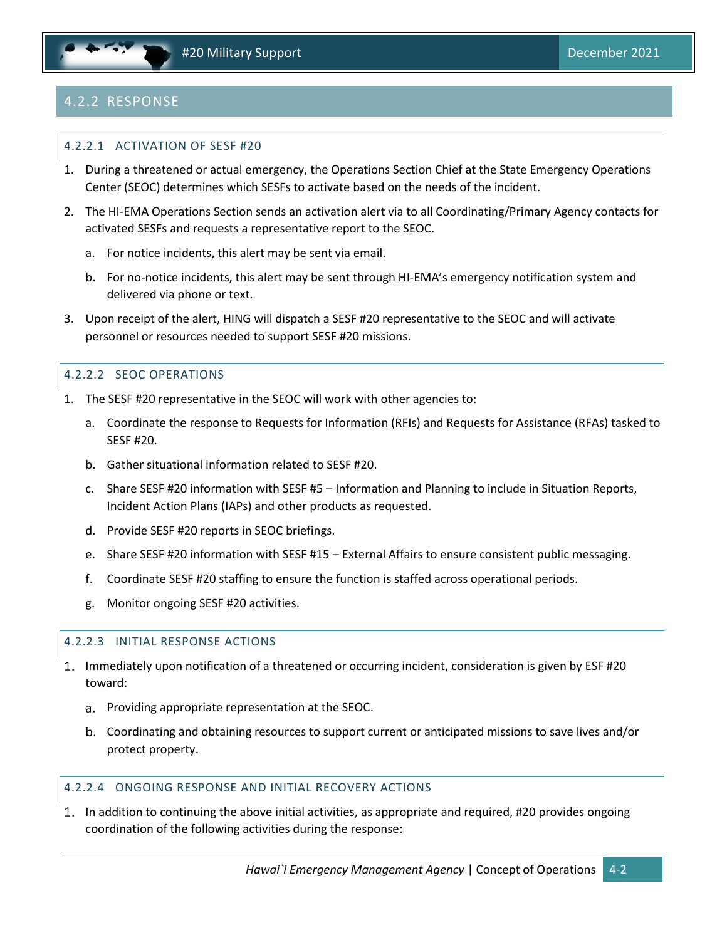# 4.2.2 RESPONSE

#### 4.2.2.1 ACTIVATION OF SESF #20

- 1. During a threatened or actual emergency, the Operations Section Chief at the State Emergency Operations Center (SEOC) determines which SESFs to activate based on the needs of the incident.
- 2. The HI-EMA Operations Section sends an activation alert via to all Coordinating/Primary Agency contacts for activated SESFs and requests a representative report to the SEOC.
	- a. For notice incidents, this alert may be sent via email.
	- b. For no-notice incidents, this alert may be sent through HI-EMA's emergency notification system and delivered via phone or text.
- 3. Upon receipt of the alert, HING will dispatch a SESF #20 representative to the SEOC and will activate personnel or resources needed to support SESF #20 missions.

#### 4.2.2.2 SEOC OPERATIONS

- 1. The SESF #20 representative in the SEOC will work with other agencies to:
	- a. Coordinate the response to Requests for Information (RFIs) and Requests for Assistance (RFAs) tasked to SESF #20.
	- b. Gather situational information related to SESF #20.
	- c. Share SESF #20 information with SESF #5 Information and Planning to include in Situation Reports, Incident Action Plans (IAPs) and other products as requested.
	- d. Provide SESF #20 reports in SEOC briefings.
	- e. Share SESF #20 information with SESF #15 External Affairs to ensure consistent public messaging.
	- f. Coordinate SESF #20 staffing to ensure the function is staffed across operational periods.
	- g. Monitor ongoing SESF #20 activities.

#### 4.2.2.3 INITIAL RESPONSE ACTIONS

- 1. Immediately upon notification of a threatened or occurring incident, consideration is given by ESF #20 toward:
	- a. Providing appropriate representation at the SEOC.
	- Coordinating and obtaining resources to support current or anticipated missions to save lives and/or protect property.

#### 4.2.2.4 ONGOING RESPONSE AND INITIAL RECOVERY ACTIONS

1. In addition to continuing the above initial activities, as appropriate and required, #20 provides ongoing coordination of the following activities during the response: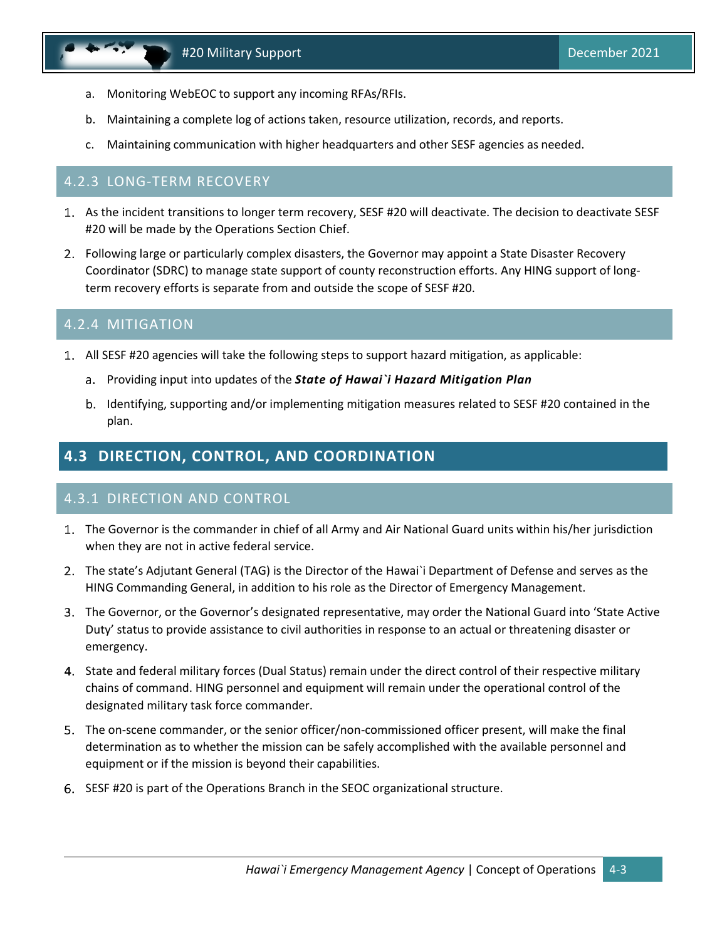- a. Monitoring WebEOC to support any incoming RFAs/RFIs.
- b. Maintaining a complete log of actions taken, resource utilization, records, and reports.
- c. Maintaining communication with higher headquarters and other SESF agencies as needed.

#### 4.2.3 LONG-TERM RECOVERY

- As the incident transitions to longer term recovery, SESF #20 will deactivate. The decision to deactivate SESF #20 will be made by the Operations Section Chief.
- Following large or particularly complex disasters, the Governor may appoint a State Disaster Recovery Coordinator (SDRC) to manage state support of county reconstruction efforts. Any HING support of longterm recovery efforts is separate from and outside the scope of SESF #20.

#### 4.2.4 MITIGATION

- All SESF #20 agencies will take the following steps to support hazard mitigation, as applicable:
	- Providing input into updates of the *State of Hawai`i Hazard Mitigation Plan*
	- b. Identifying, supporting and/or implementing mitigation measures related to SESF #20 contained in the plan.

# <span id="page-13-0"></span>**4.3 DIRECTION, CONTROL, AND COORDINATION**

#### 4.3.1 DIRECTION AND CONTROL

- The Governor is the commander in chief of all Army and Air National Guard units within his/her jurisdiction when they are not in active federal service.
- The state's Adjutant General (TAG) is the Director of the Hawai`i Department of Defense and serves as the HING Commanding General, in addition to his role as the Director of Emergency Management.
- The Governor, or the Governor's designated representative, may order the National Guard into 'State Active Duty' status to provide assistance to civil authorities in response to an actual or threatening disaster or emergency.
- 4. State and federal military forces (Dual Status) remain under the direct control of their respective military chains of command. HING personnel and equipment will remain under the operational control of the designated military task force commander.
- The on-scene commander, or the senior officer/non-commissioned officer present, will make the final determination as to whether the mission can be safely accomplished with the available personnel and equipment or if the mission is beyond their capabilities.
- SESF #20 is part of the Operations Branch in the SEOC organizational structure.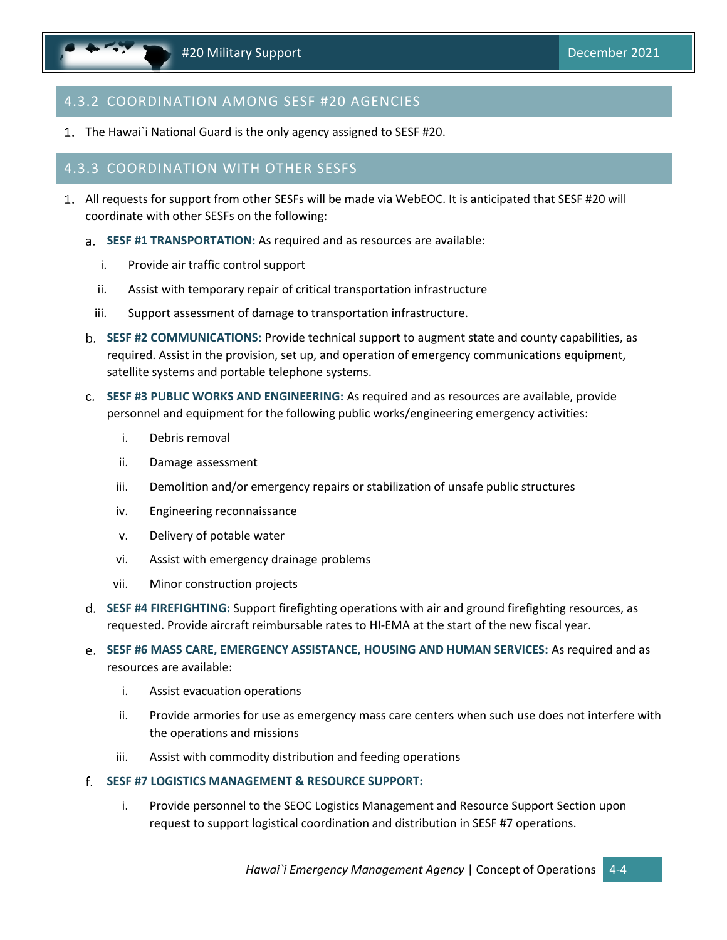### 4.3.2 COORDINATION AMONG SESF #20 AGENCIES

1. The Hawai`i National Guard is the only agency assigned to SESF #20.

#### 4.3.3 COORDINATION WITH OTHER SESFS

- All requests for support from other SESFs will be made via WebEOC. It is anticipated that SESF #20 will coordinate with other SESFs on the following:
	- **SESF #1 TRANSPORTATION:** As required and as resources are available:
		- i. Provide air traffic control support
		- ii. Assist with temporary repair of critical transportation infrastructure
		- iii. Support assessment of damage to transportation infrastructure.
	- **SESF #2 COMMUNICATIONS:** Provide technical support to augment state and county capabilities, as required. Assist in the provision, set up, and operation of emergency communications equipment, satellite systems and portable telephone systems.
	- **SESF #3 PUBLIC WORKS AND ENGINEERING:** As required and as resources are available, provide personnel and equipment for the following public works/engineering emergency activities:
		- i. Debris removal
		- ii. Damage assessment
		- iii. Demolition and/or emergency repairs or stabilization of unsafe public structures
		- iv. Engineering reconnaissance
		- v. Delivery of potable water
		- vi. Assist with emergency drainage problems
		- vii. Minor construction projects
	- **SESF #4 FIREFIGHTING:** Support firefighting operations with air and ground firefighting resources, as requested. Provide aircraft reimbursable rates to HI-EMA at the start of the new fiscal year.
	- **SESF #6 MASS CARE, EMERGENCY ASSISTANCE, HOUSING AND HUMAN SERVICES:** As required and as resources are available:
		- i. Assist evacuation operations
		- ii. Provide armories for use as emergency mass care centers when such use does not interfere with the operations and missions
		- iii. Assist with commodity distribution and feeding operations
	- **SESF #7 LOGISTICS MANAGEMENT & RESOURCE SUPPORT:**
		- i. Provide personnel to the SEOC Logistics Management and Resource Support Section upon request to support logistical coordination and distribution in SESF #7 operations.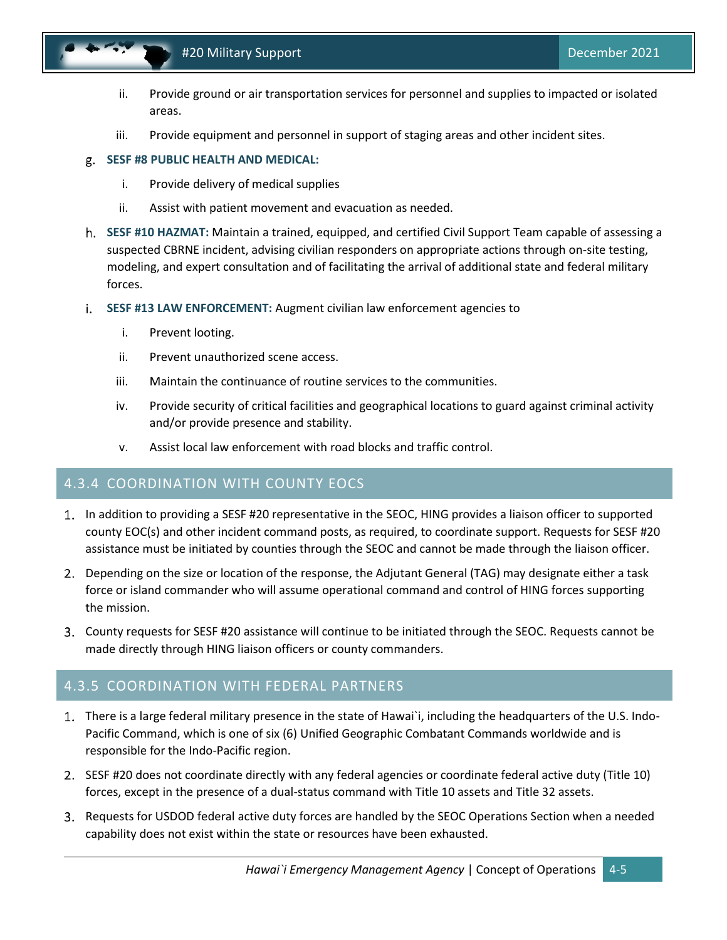

- ii. Provide ground or air transportation services for personnel and supplies to impacted or isolated areas.
- iii. Provide equipment and personnel in support of staging areas and other incident sites.

#### **SESF #8 PUBLIC HEALTH AND MEDICAL:**

- i. Provide delivery of medical supplies
- ii. Assist with patient movement and evacuation as needed.
- **SESF #10 HAZMAT:** Maintain a trained, equipped, and certified Civil Support Team capable of assessing a suspected CBRNE incident, advising civilian responders on appropriate actions through on-site testing, modeling, and expert consultation and of facilitating the arrival of additional state and federal military forces.
- **SESF #13 LAW ENFORCEMENT:** Augment civilian law enforcement agencies to
	- i. Prevent looting.
	- ii. Prevent unauthorized scene access.
	- iii. Maintain the continuance of routine services to the communities.
	- iv. Provide security of critical facilities and geographical locations to guard against criminal activity and/or provide presence and stability.
	- v. Assist local law enforcement with road blocks and traffic control.

#### 4.3.4 COORDINATION WITH COUNTY EOCS

- 1. In addition to providing a SESF #20 representative in the SEOC, HING provides a liaison officer to supported county EOC(s) and other incident command posts, as required, to coordinate support. Requests for SESF #20 assistance must be initiated by counties through the SEOC and cannot be made through the liaison officer.
- Depending on the size or location of the response, the Adjutant General (TAG) may designate either a task force or island commander who will assume operational command and control of HING forces supporting the mission.
- County requests for SESF #20 assistance will continue to be initiated through the SEOC. Requests cannot be made directly through HING liaison officers or county commanders.

#### 4.3.5 COORDINATION WITH FEDERAL PARTNERS

- There is a large federal military presence in the state of Hawai`i, including the headquarters of the U.S. Indo-Pacific Command, which is one of six (6) Unified Geographic Combatant Commands worldwide and is responsible for the Indo-Pacific region.
- 2. SESF #20 does not coordinate directly with any federal agencies or coordinate federal active duty (Title 10) forces, except in the presence of a dual-status command with Title 10 assets and Title 32 assets.
- 3. Requests for USDOD federal active duty forces are handled by the SEOC Operations Section when a needed capability does not exist within the state or resources have been exhausted.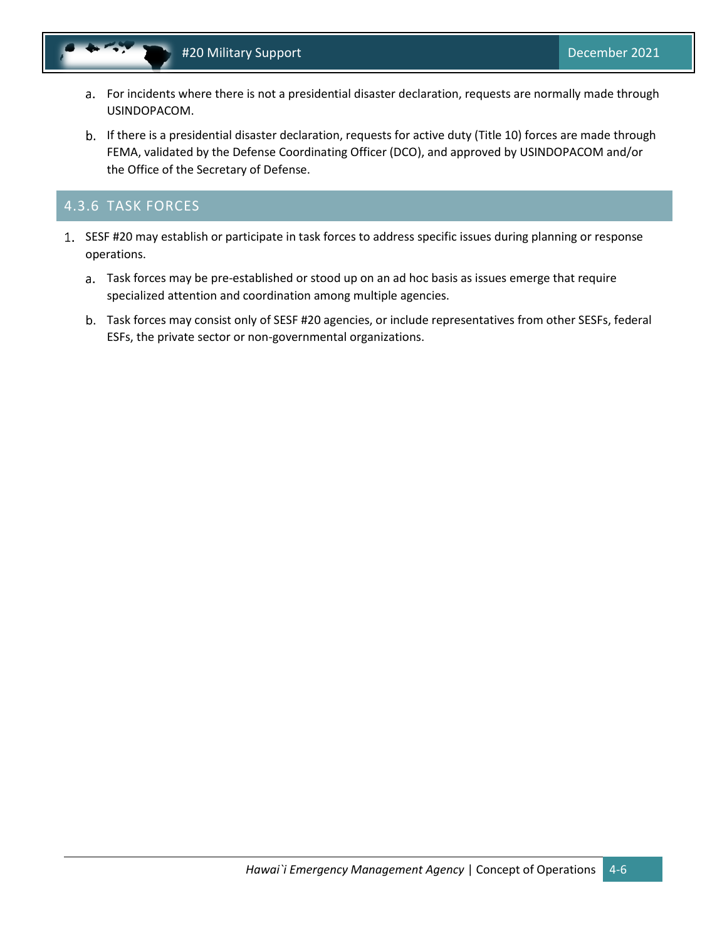- For incidents where there is not a presidential disaster declaration, requests are normally made through USINDOPACOM.
- b. If there is a presidential disaster declaration, requests for active duty (Title 10) forces are made through FEMA, validated by the Defense Coordinating Officer (DCO), and approved by USINDOPACOM and/or the Office of the Secretary of Defense.

#### 4.3.6 TASK FORCES

- 1. SESF #20 may establish or participate in task forces to address specific issues during planning or response operations.
	- Task forces may be pre-established or stood up on an ad hoc basis as issues emerge that require specialized attention and coordination among multiple agencies.
	- Task forces may consist only of SESF #20 agencies, or include representatives from other SESFs, federal ESFs, the private sector or non-governmental organizations.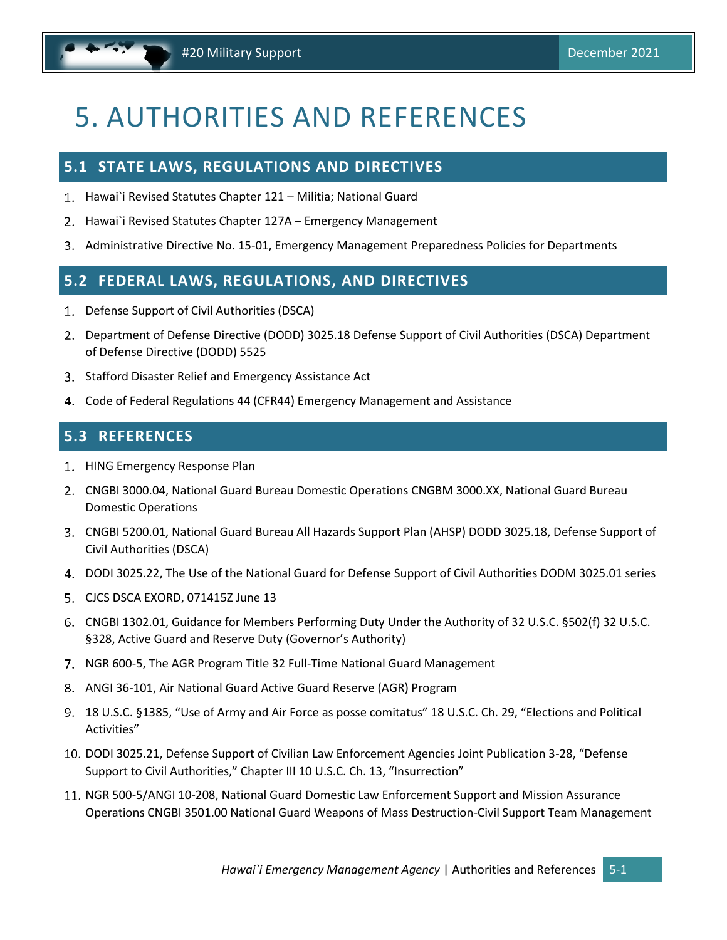# <span id="page-17-0"></span>5. AUTHORITIES AND REFERENCES

#### <span id="page-17-1"></span>**5.1 STATE LAWS, REGULATIONS AND DIRECTIVES**

- Hawai`i Revised Statutes Chapter 121 Militia; National Guard
- 2. Hawai`i Revised Statutes Chapter 127A Emergency Management
- 3. Administrative Directive No. 15-01, Emergency Management Preparedness Policies for Departments

### <span id="page-17-2"></span>**5.2 FEDERAL LAWS, REGULATIONS, AND DIRECTIVES**

- 1. Defense Support of Civil Authorities (DSCA)
- Department of Defense Directive (DODD) 3025.18 Defense Support of Civil Authorities (DSCA) Department of Defense Directive (DODD) 5525
- Stafford Disaster Relief and Emergency Assistance Act
- Code of Federal Regulations 44 (CFR44) Emergency Management and Assistance

#### <span id="page-17-3"></span>**5.3 REFERENCES**

- 1. HING Emergency Response Plan
- CNGBI 3000.04, National Guard Bureau Domestic Operations CNGBM 3000.XX, National Guard Bureau Domestic Operations
- CNGBI 5200.01, National Guard Bureau All Hazards Support Plan (AHSP) DODD 3025.18, Defense Support of Civil Authorities (DSCA)
- DODI 3025.22, The Use of the National Guard for Defense Support of Civil Authorities DODM 3025.01 series
- CJCS DSCA EXORD, 071415Z June 13
- CNGBI 1302.01, Guidance for Members Performing Duty Under the Authority of 32 U.S.C. §502(f) 32 U.S.C. §328, Active Guard and Reserve Duty (Governor's Authority)
- 7. NGR 600-5, The AGR Program Title 32 Full-Time National Guard Management
- ANGI 36-101, Air National Guard Active Guard Reserve (AGR) Program
- 18 U.S.C. §1385, "Use of Army and Air Force as posse comitatus" 18 U.S.C. Ch. 29, "Elections and Political Activities"
- 10. DODI 3025.21, Defense Support of Civilian Law Enforcement Agencies Joint Publication 3-28, "Defense Support to Civil Authorities," Chapter III 10 U.S.C. Ch. 13, "Insurrection"
- 11. NGR 500-5/ANGI 10-208, National Guard Domestic Law Enforcement Support and Mission Assurance Operations CNGBI 3501.00 National Guard Weapons of Mass Destruction-Civil Support Team Management